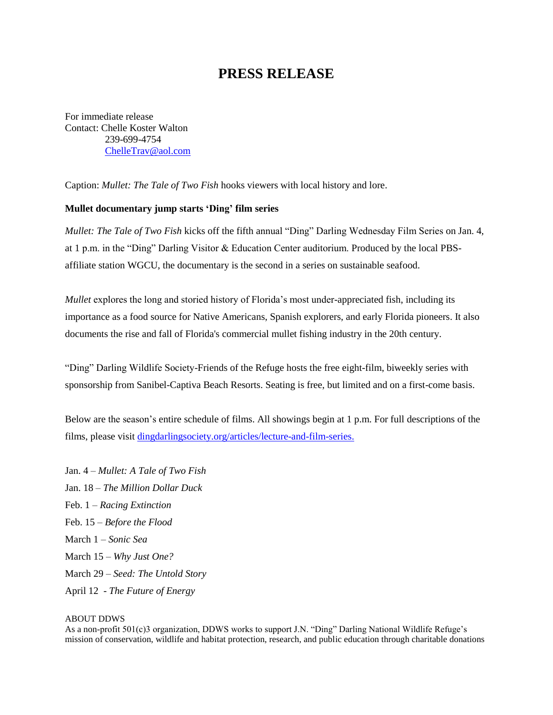## **PRESS RELEASE**

For immediate release Contact: Chelle Koster Walton 239-699-4754 [ChelleTrav@aol.com](mailto:ChelleTrav@aol.com)

Caption: *Mullet: The Tale of Two Fish* hooks viewers with local history and lore.

## **Mullet documentary jump starts 'Ding' film series**

*Mullet: The Tale of Two Fish* kicks off the fifth annual "Ding" Darling Wednesday Film Series on Jan. 4, at 1 p.m. in the "Ding" Darling Visitor & Education Center auditorium. Produced by the local PBSaffiliate station WGCU, the documentary is the second in a series on sustainable seafood.

*Mullet* explores the long and storied history of Florida's most under-appreciated fish, including its importance as a food source for Native Americans, Spanish explorers, and early Florida pioneers. It also documents the rise and fall of Florida's commercial mullet fishing industry in the 20th century.

"Ding" Darling Wildlife Society-Friends of the Refuge hosts the free eight-film, biweekly series with sponsorship from Sanibel-Captiva Beach Resorts. Seating is free, but limited and on a first-come basis.

Below are the season's entire schedule of films. All showings begin at 1 p.m. For full descriptions of the films, please visit [dingdarlingsociety.org/articles/lecture-and-film-series.](http://www.dingdarlingsociety.org/films)

Jan. 4 – *Mullet: A Tale of Two Fish* Jan. 18 – *The Million Dollar Duck* Feb. 1 – *Racing Extinction* Feb. 15 – *Before the Flood* March 1 – *Sonic Sea* March 15 – *Why Just One?* March 29 – *Seed: The Untold Story* April 12 - *The Future of Energy*

## ABOUT DDWS

As a non-profit 501(c)3 organization, DDWS works to support J.N. "Ding" Darling National Wildlife Refuge's mission of conservation, wildlife and habitat protection, research, and public education through charitable donations